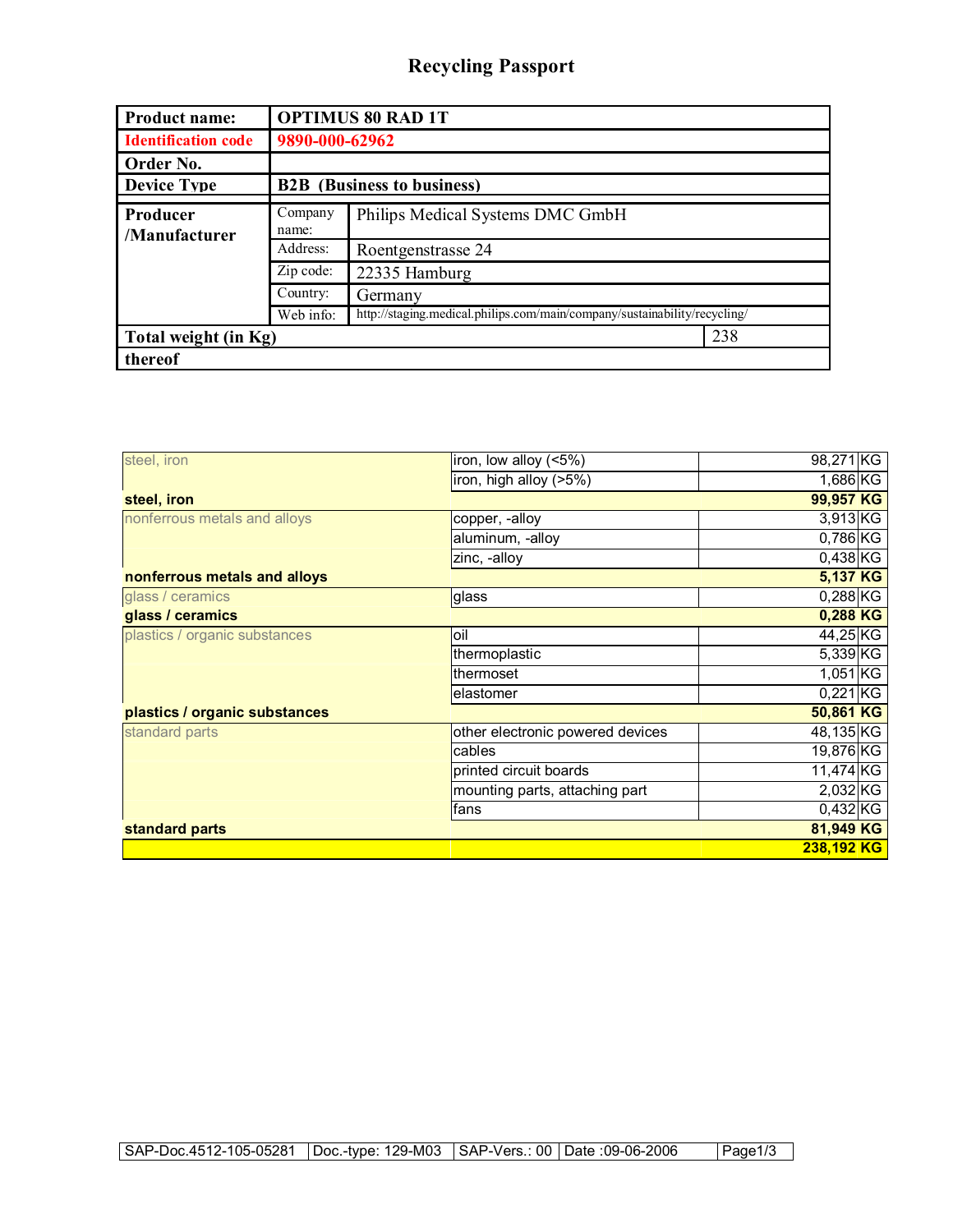## **Recycling Passport**

| <b>Product name:</b>             | <b>OPTIMUS 80 RAD 1T</b>          |                                                                           |  |
|----------------------------------|-----------------------------------|---------------------------------------------------------------------------|--|
| <b>Identification code</b>       | 9890-000-62962                    |                                                                           |  |
| Order No.                        |                                   |                                                                           |  |
| <b>Device Type</b>               | <b>B2B</b> (Business to business) |                                                                           |  |
| <b>Producer</b><br>/Manufacturer | Company<br>name:                  | Philips Medical Systems DMC GmbH                                          |  |
|                                  | Address:                          | Roentgenstrasse 24                                                        |  |
|                                  | Zip code:                         | 22335 Hamburg                                                             |  |
|                                  | Country:                          | Germany                                                                   |  |
|                                  | Web info:                         | http://staging.medical.philips.com/main/company/sustainability/recycling/ |  |
| Total weight (in Kg)             |                                   | 238                                                                       |  |
| thereof                          |                                   |                                                                           |  |

| steel, iron                   | iron, low alloy (<5%)            | 98,271 KG             |
|-------------------------------|----------------------------------|-----------------------|
|                               | iron, high alloy (>5%)           | 1,686 KG              |
| steel, iron                   |                                  | 99,957 KG             |
| nonferrous metals and alloys  | copper, -alloy                   | $3,913$ <sub>KG</sub> |
|                               | aluminum, -alloy                 | $0,786$ <sub>KG</sub> |
|                               | zinc, -alloy                     | $0,438$ <sub>KG</sub> |
| nonferrous metals and alloys  |                                  | 5,137 KG              |
| glass / ceramics              | glass                            | $0,288$ <sub>KG</sub> |
| glass / ceramics              |                                  | 0,288 KG              |
| plastics / organic substances | loil                             | 44,25 KG              |
|                               | thermoplastic                    | 5,339 KG              |
|                               | thermoset                        | $1,051$ <sub>KG</sub> |
|                               | elastomer                        | $0,221$ KG            |
| plastics / organic substances |                                  | 50,861 KG             |
| standard parts                | other electronic powered devices | 48,135 KG             |
|                               | cables                           | 19,876 KG             |
|                               | printed circuit boards           | 11,474 KG             |
|                               | mounting parts, attaching part   | 2,032 KG              |
|                               | fans                             | $0,432$ <sub>KG</sub> |
| standard parts                |                                  | 81,949 KG             |
|                               |                                  | 238,192 KG            |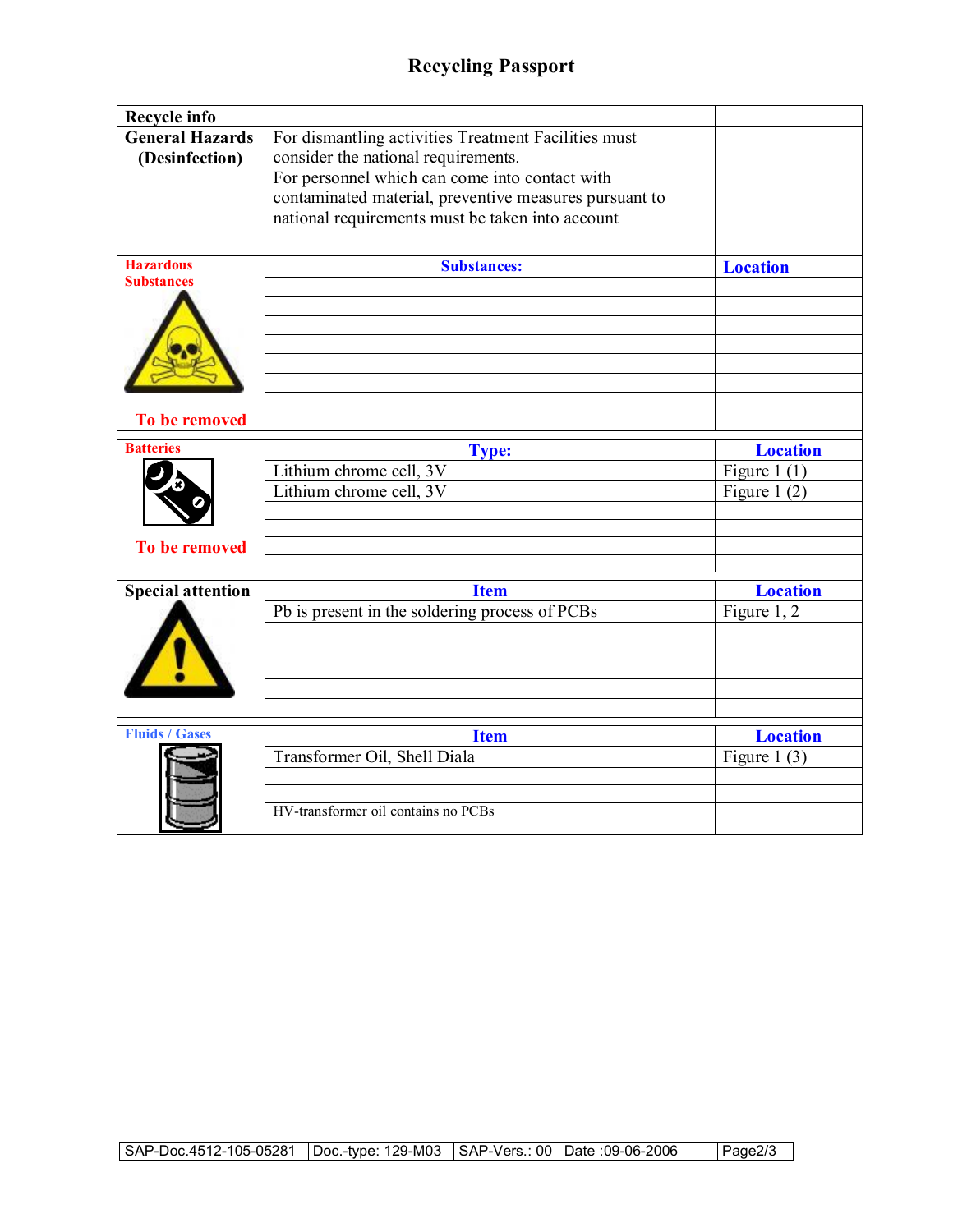| Recycle info                                           |                                                                                                                                                                                                                                                             |                                                     |
|--------------------------------------------------------|-------------------------------------------------------------------------------------------------------------------------------------------------------------------------------------------------------------------------------------------------------------|-----------------------------------------------------|
| <b>General Hazards</b><br>(Desinfection)               | For dismantling activities Treatment Facilities must<br>consider the national requirements.<br>For personnel which can come into contact with<br>contaminated material, preventive measures pursuant to<br>national requirements must be taken into account |                                                     |
| <b>Hazardous</b>                                       | <b>Substances:</b>                                                                                                                                                                                                                                          | <b>Location</b>                                     |
| <b>Substances</b><br>To be removed<br><b>Batteries</b> | <b>Type:</b><br>Lithium chrome cell, 3V<br>Lithium chrome cell, 3V                                                                                                                                                                                          | <b>Location</b><br>Figure 1 $(1)$<br>Figure 1 $(2)$ |
| <b>To be removed</b>                                   |                                                                                                                                                                                                                                                             |                                                     |
|                                                        |                                                                                                                                                                                                                                                             |                                                     |
| <b>Special attention</b>                               | <b>Item</b><br>Pb is present in the soldering process of PCBs                                                                                                                                                                                               | <b>Location</b><br>Figure 1, 2                      |
|                                                        |                                                                                                                                                                                                                                                             |                                                     |
| <b>Fluids / Gases</b>                                  | <b>Item</b>                                                                                                                                                                                                                                                 | <b>Location</b>                                     |
|                                                        | Transformer Oil, Shell Diala<br>HV-transformer oil contains no PCBs                                                                                                                                                                                         | Figure 1 $(3)$                                      |
|                                                        |                                                                                                                                                                                                                                                             |                                                     |